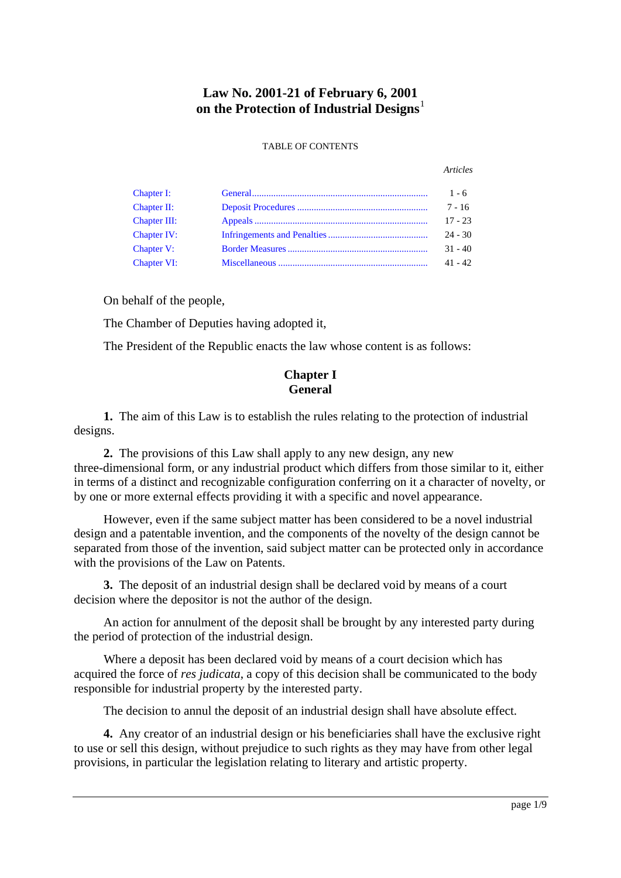# **Law No. 2001-21 of February 6, 2001 on the Protection of Industrial Designs**

#### TABLE OF CONTENTS

#### *Articles*

| Chapter I:         | $1 - 6$   |
|--------------------|-----------|
| Chapter II:        | $7 - 16$  |
| Chapter III:       | $17 - 23$ |
| <b>Chapter IV:</b> | $24 - 30$ |
| <b>Chapter V:</b>  | $31 - 40$ |
| <b>Chapter VI:</b> | $41 - 42$ |

On behalf of the people,

The Chamber of Deputies having adopted it,

The President of the Republic enacts the law whose content is as follows:

## **Chapter I General**

<span id="page-0-0"></span>**1.** The aim of this Law is to establish the rules relating to the protection of industrial designs.

**2.** The provisions of this Law shall apply to any new design, any new three-dimensional form, or any industrial product which differs from those similar to it, either in terms of a distinct and recognizable configuration conferring on it a character of novelty, or by one or more external effects providing it with a specific and novel appearance.

However, even if the same subject matter has been considered to be a novel industrial design and a patentable invention, and the components of the novelty of the design cannot be separated from those of the invention, said subject matter can be protected only in accordance with the provisions of the Law on Patents.

**3.** The deposit of an industrial design shall be declared void by means of a court decision where the depositor is not the author of the design.

An action for annulment of the deposit shall be brought by any interested party during the period of protection of the industrial design.

Where a deposit has been declared void by means of a court decision which has acquired the force of *res judicata*, a copy of this decision shall be communicated to the body responsible for industrial property by the interested party.

The decision to annul the deposit of an industrial design shall have absolute effect.

**4.** Any creator of an industrial design or his beneficiaries shall have the exclusive right to use or sell this design, without prejudice to such rights as they may have from other legal provisions, in particular the legislation relating to literary and artistic property.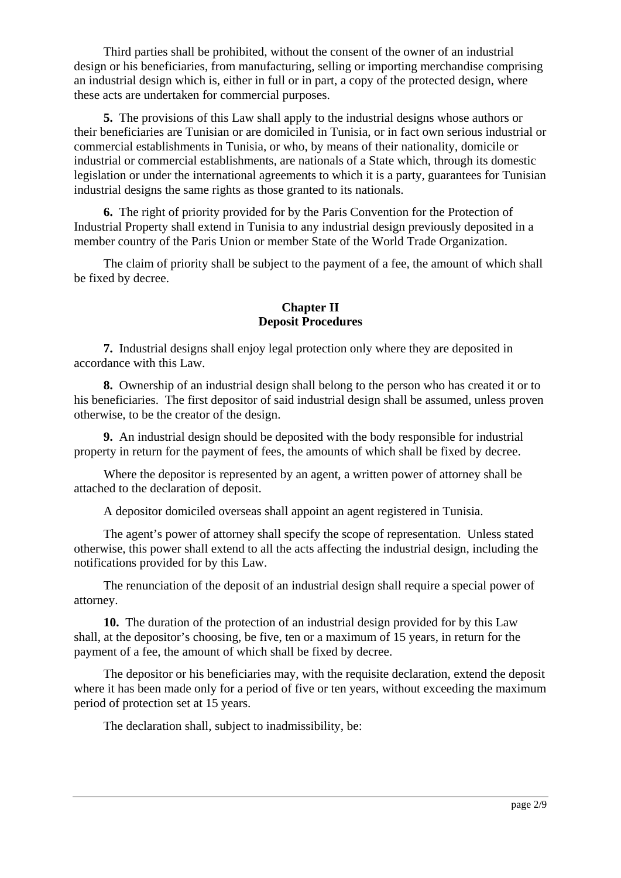Third parties shall be prohibited, without the consent of the owner of an industrial design or his beneficiaries, from manufacturing, selling or importing merchandise comprising an industrial design which is, either in full or in part, a copy of the protected design, where these acts are undertaken for commercial purposes.

**5.** The provisions of this Law shall apply to the industrial designs whose authors or their beneficiaries are Tunisian or are domiciled in Tunisia, or in fact own serious industrial or commercial establishments in Tunisia, or who, by means of their nationality, domicile or industrial or commercial establishments, are nationals of a State which, through its domestic legislation or under the international agreements to which it is a party, guarantees for Tunisian industrial designs the same rights as those granted to its nationals.

**6.** The right of priority provided for by the Paris Convention for the Protection of Industrial Property shall extend in Tunisia to any industrial design previously deposited in a member country of the Paris Union or member State of the World Trade Organization.

The claim of priority shall be subject to the payment of a fee, the amount of which shall be fixed by decree.

### **Chapter II Deposit Procedures**

<span id="page-1-0"></span>**7.** Industrial designs shall enjoy legal protection only where they are deposited in accordance with this Law.

**8.** Ownership of an industrial design shall belong to the person who has created it or to his beneficiaries. The first depositor of said industrial design shall be assumed, unless proven otherwise, to be the creator of the design.

**9.** An industrial design should be deposited with the body responsible for industrial property in return for the payment of fees, the amounts of which shall be fixed by decree.

Where the depositor is represented by an agent, a written power of attorney shall be attached to the declaration of deposit.

A depositor domiciled overseas shall appoint an agent registered in Tunisia.

The agent's power of attorney shall specify the scope of representation. Unless stated otherwise, this power shall extend to all the acts affecting the industrial design, including the notifications provided for by this Law.

The renunciation of the deposit of an industrial design shall require a special power of attorney.

**10.** The duration of the protection of an industrial design provided for by this Law shall, at the depositor's choosing, be five, ten or a maximum of 15 years, in return for the payment of a fee, the amount of which shall be fixed by decree.

The depositor or his beneficiaries may, with the requisite declaration, extend the deposit where it has been made only for a period of five or ten years, without exceeding the maximum period of protection set at 15 years.

The declaration shall, subject to inadmissibility, be: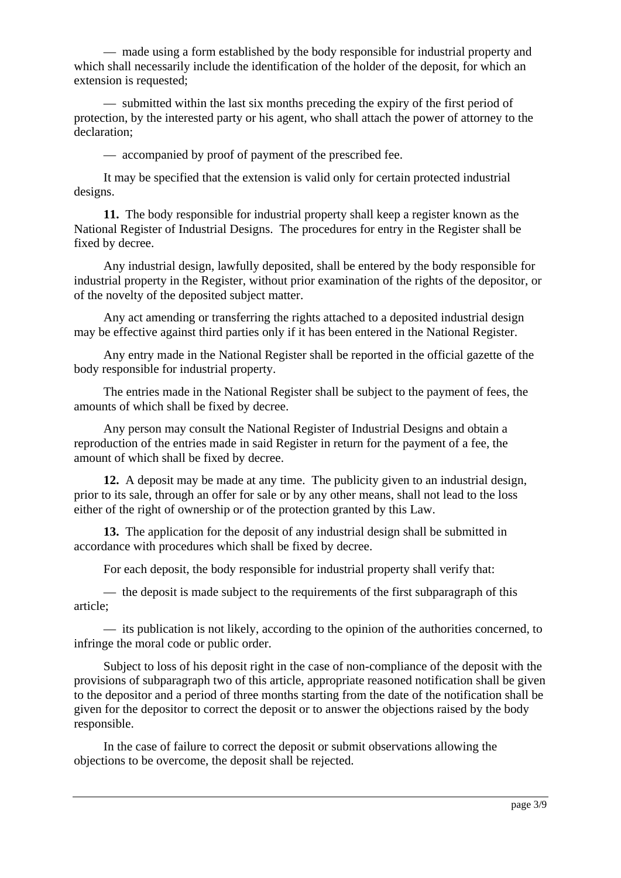— made using a form established by the body responsible for industrial property and which shall necessarily include the identification of the holder of the deposit, for which an extension is requested;

— submitted within the last six months preceding the expiry of the first period of protection, by the interested party or his agent, who shall attach the power of attorney to the declaration;

— accompanied by proof of payment of the prescribed fee.

It may be specified that the extension is valid only for certain protected industrial designs.

**11.** The body responsible for industrial property shall keep a register known as the National Register of Industrial Designs. The procedures for entry in the Register shall be fixed by decree.

Any industrial design, lawfully deposited, shall be entered by the body responsible for industrial property in the Register, without prior examination of the rights of the depositor, or of the novelty of the deposited subject matter.

Any act amending or transferring the rights attached to a deposited industrial design may be effective against third parties only if it has been entered in the National Register.

Any entry made in the National Register shall be reported in the official gazette of the body responsible for industrial property.

The entries made in the National Register shall be subject to the payment of fees, the amounts of which shall be fixed by decree.

Any person may consult the National Register of Industrial Designs and obtain a reproduction of the entries made in said Register in return for the payment of a fee, the amount of which shall be fixed by decree.

**12.** A deposit may be made at any time. The publicity given to an industrial design, prior to its sale, through an offer for sale or by any other means, shall not lead to the loss either of the right of ownership or of the protection granted by this Law.

**13.** The application for the deposit of any industrial design shall be submitted in accordance with procedures which shall be fixed by decree.

For each deposit, the body responsible for industrial property shall verify that:

— the deposit is made subject to the requirements of the first subparagraph of this article;

— its publication is not likely, according to the opinion of the authorities concerned, to infringe the moral code or public order.

Subject to loss of his deposit right in the case of non-compliance of the deposit with the provisions of subparagraph two of this article, appropriate reasoned notification shall be given to the depositor and a period of three months starting from the date of the notification shall be given for the depositor to correct the deposit or to answer the objections raised by the body responsible.

In the case of failure to correct the deposit or submit observations allowing the objections to be overcome, the deposit shall be rejected.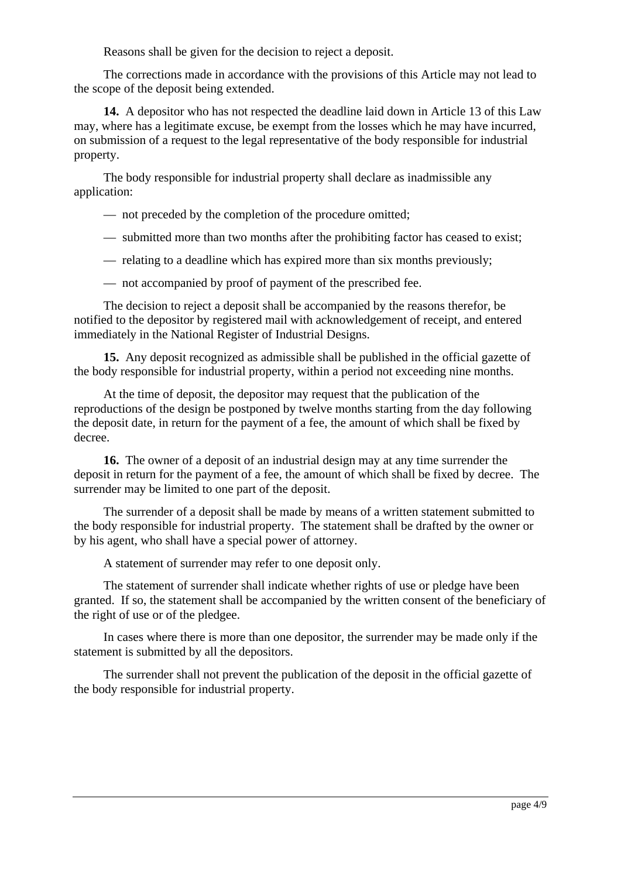Reasons shall be given for the decision to reject a deposit.

The corrections made in accordance with the provisions of this Article may not lead to the scope of the deposit being extended.

**14.** A depositor who has not respected the deadline laid down in Article 13 of this Law may, where has a legitimate excuse, be exempt from the losses which he may have incurred, on submission of a request to the legal representative of the body responsible for industrial property.

The body responsible for industrial property shall declare as inadmissible any application:

— not preceded by the completion of the procedure omitted;

- submitted more than two months after the prohibiting factor has ceased to exist;
- relating to a deadline which has expired more than six months previously;
- not accompanied by proof of payment of the prescribed fee.

The decision to reject a deposit shall be accompanied by the reasons therefor, be notified to the depositor by registered mail with acknowledgement of receipt, and entered immediately in the National Register of Industrial Designs.

**15.** Any deposit recognized as admissible shall be published in the official gazette of the body responsible for industrial property, within a period not exceeding nine months.

At the time of deposit, the depositor may request that the publication of the reproductions of the design be postponed by twelve months starting from the day following the deposit date, in return for the payment of a fee, the amount of which shall be fixed by decree.

**16.** The owner of a deposit of an industrial design may at any time surrender the deposit in return for the payment of a fee, the amount of which shall be fixed by decree. The surrender may be limited to one part of the deposit.

The surrender of a deposit shall be made by means of a written statement submitted to the body responsible for industrial property. The statement shall be drafted by the owner or by his agent, who shall have a special power of attorney.

A statement of surrender may refer to one deposit only.

The statement of surrender shall indicate whether rights of use or pledge have been granted. If so, the statement shall be accompanied by the written consent of the beneficiary of the right of use or of the pledgee.

In cases where there is more than one depositor, the surrender may be made only if the statement is submitted by all the depositors.

The surrender shall not prevent the publication of the deposit in the official gazette of the body responsible for industrial property.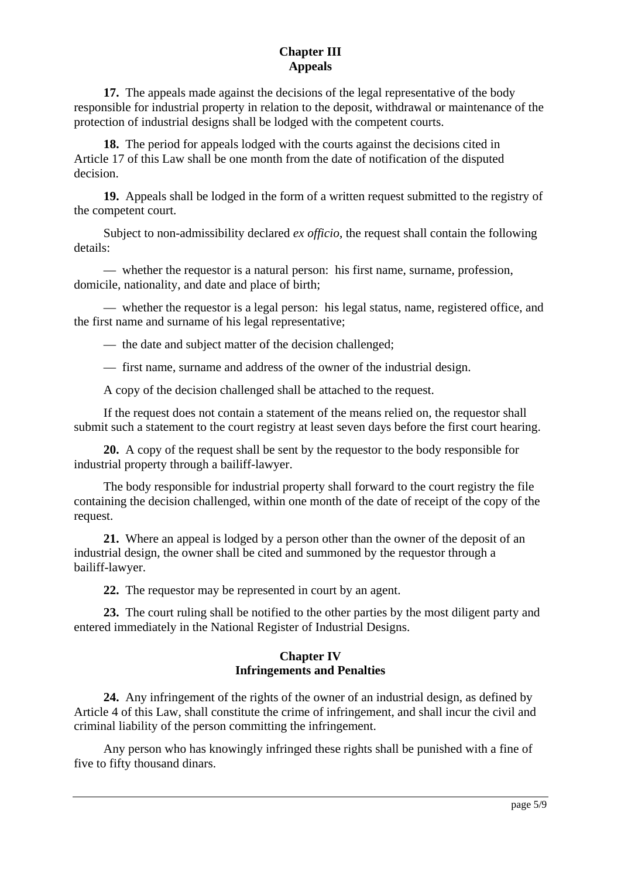## **Chapter III Appeals**

<span id="page-4-0"></span>**17.** The appeals made against the decisions of the legal representative of the body responsible for industrial property in relation to the deposit, withdrawal or maintenance of the protection of industrial designs shall be lodged with the competent courts.

**18.** The period for appeals lodged with the courts against the decisions cited in Article 17 of this Law shall be one month from the date of notification of the disputed decision.

**19.** Appeals shall be lodged in the form of a written request submitted to the registry of the competent court.

Subject to non-admissibility declared *ex officio*, the request shall contain the following details:

— whether the requestor is a natural person: his first name, surname, profession, domicile, nationality, and date and place of birth;

— whether the requestor is a legal person: his legal status, name, registered office, and the first name and surname of his legal representative;

— the date and subject matter of the decision challenged;

— first name, surname and address of the owner of the industrial design.

A copy of the decision challenged shall be attached to the request.

If the request does not contain a statement of the means relied on, the requestor shall submit such a statement to the court registry at least seven days before the first court hearing.

**20.** A copy of the request shall be sent by the requestor to the body responsible for industrial property through a bailiff-lawyer.

The body responsible for industrial property shall forward to the court registry the file containing the decision challenged, within one month of the date of receipt of the copy of the request.

**21.** Where an appeal is lodged by a person other than the owner of the deposit of an industrial design, the owner shall be cited and summoned by the requestor through a bailiff-lawyer.

**22.** The requestor may be represented in court by an agent.

**23.** The court ruling shall be notified to the other parties by the most diligent party and entered immediately in the National Register of Industrial Designs.

## **Chapter IV Infringements and Penalties**

<span id="page-4-1"></span>**24.** Any infringement of the rights of the owner of an industrial design, as defined by Article 4 of this Law, shall constitute the crime of infringement, and shall incur the civil and criminal liability of the person committing the infringement.

Any person who has knowingly infringed these rights shall be punished with a fine of five to fifty thousand dinars.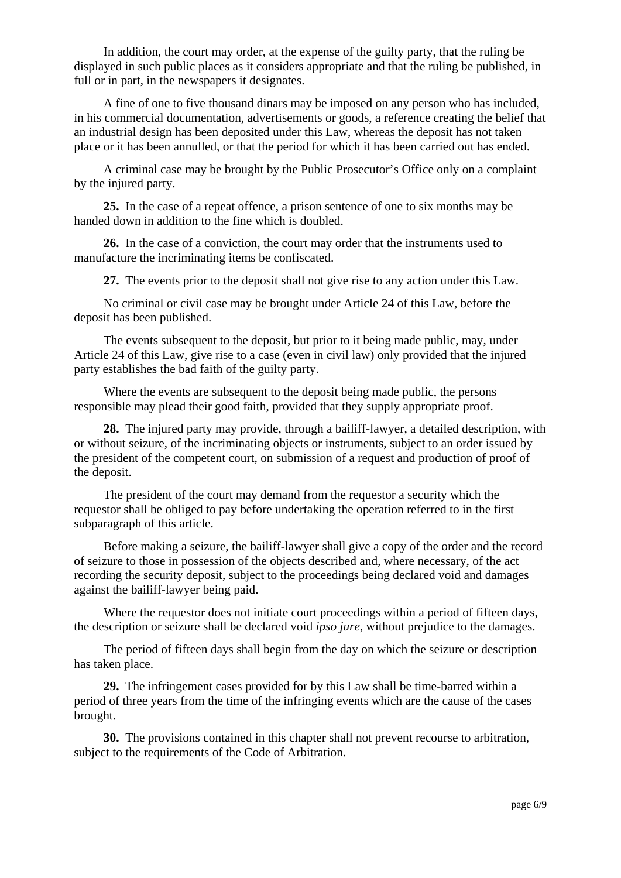In addition, the court may order, at the expense of the guilty party, that the ruling be displayed in such public places as it considers appropriate and that the ruling be published, in full or in part, in the newspapers it designates.

A fine of one to five thousand dinars may be imposed on any person who has included, in his commercial documentation, advertisements or goods, a reference creating the belief that an industrial design has been deposited under this Law, whereas the deposit has not taken place or it has been annulled, or that the period for which it has been carried out has ended.

A criminal case may be brought by the Public Prosecutor's Office only on a complaint by the injured party.

**25.** In the case of a repeat offence, a prison sentence of one to six months may be handed down in addition to the fine which is doubled.

**26.** In the case of a conviction, the court may order that the instruments used to manufacture the incriminating items be confiscated.

**27.** The events prior to the deposit shall not give rise to any action under this Law.

No criminal or civil case may be brought under Article 24 of this Law, before the deposit has been published.

The events subsequent to the deposit, but prior to it being made public, may, under Article 24 of this Law, give rise to a case (even in civil law) only provided that the injured party establishes the bad faith of the guilty party.

Where the events are subsequent to the deposit being made public, the persons responsible may plead their good faith, provided that they supply appropriate proof.

**28.** The injured party may provide, through a bailiff-lawyer, a detailed description, with or without seizure, of the incriminating objects or instruments, subject to an order issued by the president of the competent court, on submission of a request and production of proof of the deposit.

The president of the court may demand from the requestor a security which the requestor shall be obliged to pay before undertaking the operation referred to in the first subparagraph of this article.

Before making a seizure, the bailiff-lawyer shall give a copy of the order and the record of seizure to those in possession of the objects described and, where necessary, of the act recording the security deposit, subject to the proceedings being declared void and damages against the bailiff-lawyer being paid.

Where the requestor does not initiate court proceedings within a period of fifteen days, the description or seizure shall be declared void *ipso jure*, without prejudice to the damages.

The period of fifteen days shall begin from the day on which the seizure or description has taken place.

**29.** The infringement cases provided for by this Law shall be time-barred within a period of three years from the time of the infringing events which are the cause of the cases brought.

**30.** The provisions contained in this chapter shall not prevent recourse to arbitration, subject to the requirements of the Code of Arbitration.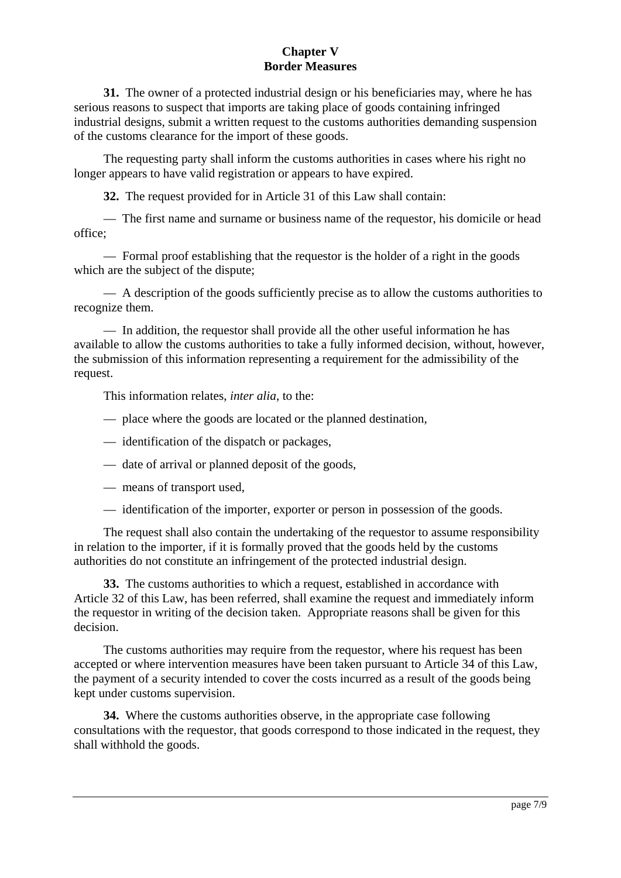### **Chapter V Border Measures**

<span id="page-6-0"></span>**31.** The owner of a protected industrial design or his beneficiaries may, where he has serious reasons to suspect that imports are taking place of goods containing infringed industrial designs, submit a written request to the customs authorities demanding suspension of the customs clearance for the import of these goods.

The requesting party shall inform the customs authorities in cases where his right no longer appears to have valid registration or appears to have expired.

**32.** The request provided for in Article 31 of this Law shall contain:

— The first name and surname or business name of the requestor, his domicile or head office;

— Formal proof establishing that the requestor is the holder of a right in the goods which are the subject of the dispute;

— A description of the goods sufficiently precise as to allow the customs authorities to recognize them.

— In addition, the requestor shall provide all the other useful information he has available to allow the customs authorities to take a fully informed decision, without, however, the submission of this information representing a requirement for the admissibility of the request.

This information relates, *inter alia*, to the:

- place where the goods are located or the planned destination,
- identification of the dispatch or packages,
- date of arrival or planned deposit of the goods,
- means of transport used,
- identification of the importer, exporter or person in possession of the goods.

The request shall also contain the undertaking of the requestor to assume responsibility in relation to the importer, if it is formally proved that the goods held by the customs authorities do not constitute an infringement of the protected industrial design.

**33.** The customs authorities to which a request, established in accordance with Article 32 of this Law, has been referred, shall examine the request and immediately inform the requestor in writing of the decision taken. Appropriate reasons shall be given for this decision.

The customs authorities may require from the requestor, where his request has been accepted or where intervention measures have been taken pursuant to Article 34 of this Law, the payment of a security intended to cover the costs incurred as a result of the goods being kept under customs supervision.

**34.** Where the customs authorities observe, in the appropriate case following consultations with the requestor, that goods correspond to those indicated in the request, they shall withhold the goods.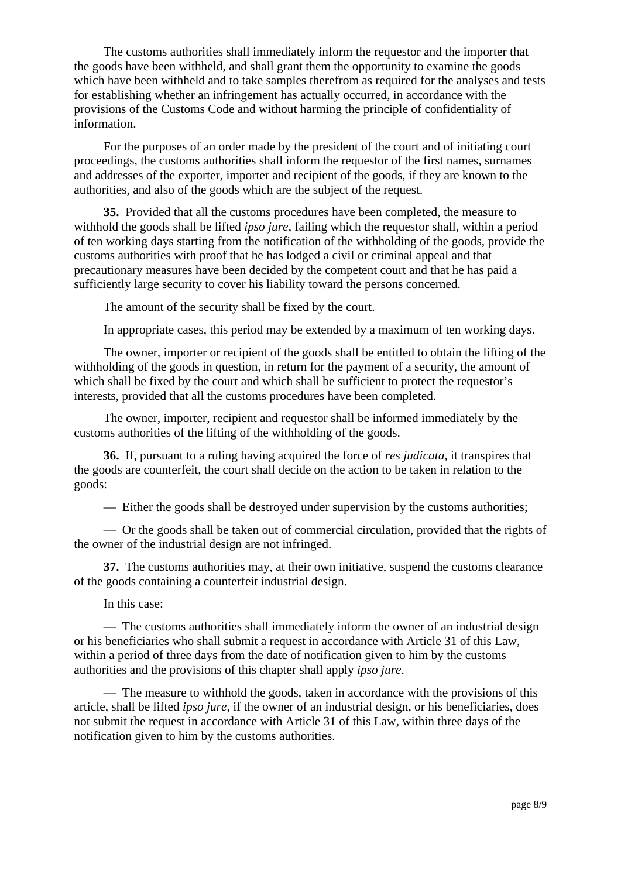The customs authorities shall immediately inform the requestor and the importer that the goods have been withheld, and shall grant them the opportunity to examine the goods which have been withheld and to take samples therefrom as required for the analyses and tests for establishing whether an infringement has actually occurred, in accordance with the provisions of the Customs Code and without harming the principle of confidentiality of information.

For the purposes of an order made by the president of the court and of initiating court proceedings, the customs authorities shall inform the requestor of the first names, surnames and addresses of the exporter, importer and recipient of the goods, if they are known to the authorities, and also of the goods which are the subject of the request.

**35.** Provided that all the customs procedures have been completed, the measure to withhold the goods shall be lifted *ipso jure*, failing which the requestor shall, within a period of ten working days starting from the notification of the withholding of the goods, provide the customs authorities with proof that he has lodged a civil or criminal appeal and that precautionary measures have been decided by the competent court and that he has paid a sufficiently large security to cover his liability toward the persons concerned.

The amount of the security shall be fixed by the court.

In appropriate cases, this period may be extended by a maximum of ten working days.

The owner, importer or recipient of the goods shall be entitled to obtain the lifting of the withholding of the goods in question, in return for the payment of a security, the amount of which shall be fixed by the court and which shall be sufficient to protect the requestor's interests, provided that all the customs procedures have been completed.

The owner, importer, recipient and requestor shall be informed immediately by the customs authorities of the lifting of the withholding of the goods.

**36.** If, pursuant to a ruling having acquired the force of *res judicata*, it transpires that the goods are counterfeit, the court shall decide on the action to be taken in relation to the goods:

— Either the goods shall be destroyed under supervision by the customs authorities;

— Or the goods shall be taken out of commercial circulation, provided that the rights of the owner of the industrial design are not infringed.

**37.** The customs authorities may, at their own initiative, suspend the customs clearance of the goods containing a counterfeit industrial design.

In this case:

— The customs authorities shall immediately inform the owner of an industrial design or his beneficiaries who shall submit a request in accordance with Article 31 of this Law, within a period of three days from the date of notification given to him by the customs authorities and the provisions of this chapter shall apply *ipso jure*.

— The measure to withhold the goods, taken in accordance with the provisions of this article, shall be lifted *ipso jure*, if the owner of an industrial design, or his beneficiaries, does not submit the request in accordance with Article 31 of this Law, within three days of the notification given to him by the customs authorities.